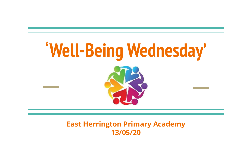

#### **East Herrington Primary Academy 13/05/20**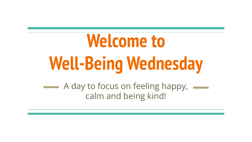# **Welcome to Well-Being Wednesday**

A day to focus on feeling happy, calm and being kind!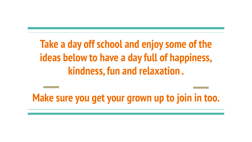**Take a day off school and enjoy some of the ideas below to have a day full of happiness, kindness, fun and relaxation .** 

**Make sure you get your grown up to join in too.**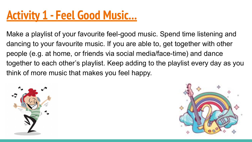### **Activity 1 - Feel Good Music...**

Make a playlist of your favourite feel-good music. Spend time listening and dancing to your favourite music. If you are able to, get together with other people (e.g. at home, or friends via social media/face-time) and dance together to each other's playlist. Keep adding to the playlist every day as you think of more music that makes you feel happy.



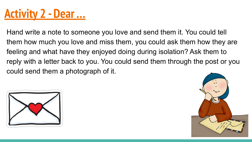### **Activity 2 - Dear …**

Hand write a note to someone you love and send them it. You could tell them how much you love and miss them, you could ask them how they are feeling and what have they enjoyed doing during isolation? Ask them to reply with a letter back to you. You could send them through the post or you could send them a photograph of it.



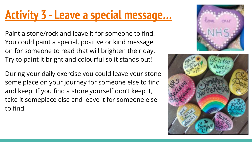### **Activity 3 - Leave a special message…**

Paint a stone/rock and leave it for someone to find. You could paint a special, positive or kind message on for someone to read that will brighten their day. Try to paint it bright and colourful so it stands out!

During your daily exercise you could leave your stone some place on your journey for someone else to find and keep. If you find a stone yourself don't keep it, take it someplace else and leave it for someone else to find.



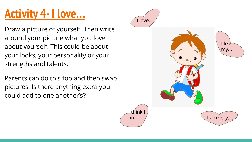### **Activity 4- I love…**

Draw a picture of yourself. Then write around your picture what you love about yourself. This could be about your looks, your personality or your strengths and talents.

Parents can do this too and then swap pictures. Is there anything extra you could add to one another's?

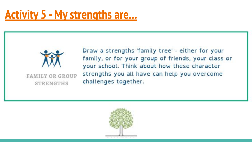### **Activity 5 - My strengths are...**



**FAMILY OR GROUP STRENGTHS** 

Draw a strengths 'family tree' - either for your family, or for your group of friends, your class or your school. Think about how these character strengths you all have can help you overcome challenges together.

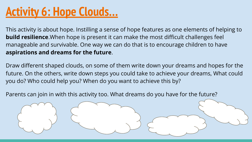### **Activity 6: Hope Clouds…**

This activity is about hope. Instilling a sense of hope features as one elements of helping to **build resilience**.When hope is present it can make the most difficult challenges feel manageable and survivable. One way we can do that is to encourage children to have **aspirations and dreams for the future**.

Draw different shaped clouds, on some of them write down your dreams and hopes for the future. On the others, write down steps you could take to achieve your dreams, What could you do? Who could help you? When do you want to achieve this by?

Parents can join in with this activity too. What dreams do you have for the future?

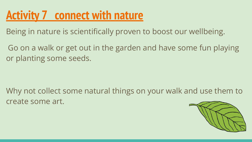### **Activity 7 connect with nature**

Being in nature is scientifically proven to boost our wellbeing.

 Go on a walk or get out in the garden and have some fun playing or planting some seeds.

Why not collect some natural things on your walk and use them to create some art.

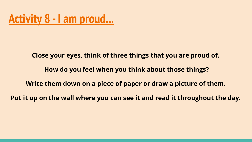

**Close your eyes, think of three things that you are proud of. How do you feel when you think about those things? Write them down on a piece of paper or draw a picture of them. Put it up on the wall where you can see it and read it throughout the day.**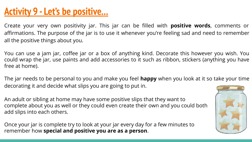### **Activity 9 - Let's be positive...**

Create your very own positivity jar. This jar can be filled with **positive words**, comments or affirmations. The purpose of the jar is to use it whenever you're feeling sad and need to remember all the positive things about you.

You can use a jam jar, coffee jar or a box of anything kind. Decorate this however you wish. You could wrap the jar, use paints and add accessories to it such as ribbon, stickers (anything you have free at home).

The jar needs to be personal to you and make you feel **happy** when you look at it so take your time decorating it and decide what slips you are going to put in.

An adult or sibling at home may have some positive slips that they want to complete about you as well or they could even create their own and you could both add slips into each others.

Once your jar is complete try to look at your jar every day for a few minutes to remember how **special and positive you are as a person**.

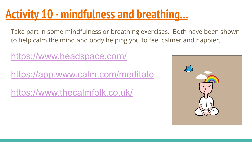### **Activity 10 - mindfulness and breathing...**

Take part in some mindfulness or breathing exercises. Both have been shown to help calm the mind and body helping you to feel calmer and happier.

<https://www.headspace.com/>

<https://app.www.calm.com/meditate>

<https://www.thecalmfolk.co.uk/>

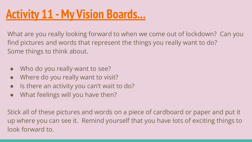### **Activity 11 - My Vision Boards...**

What are you really looking forward to when we come out of lockdown? Can you find pictures and words that represent the things you really want to do? Some things to think about.

- Who do you really want to see?
- Where do you really want to visit?
- Is there an activity you can't wait to do?
- What feelings will you have then?

Stick all of these pictures and words on a piece of cardboard or paper and put it up where you can see it. Remind yourself that you have lots of exciting things to look forward to.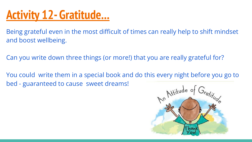### **Activity 12- Gratitude...**

Being grateful even in the most difficult of times can really help to shift mindset and boost wellbeing.

Can you write down three things (or more!) that you are really grateful for?

You could write them in a special book and do this every night before you go to bed - guaranteed to cause sweet dreams!

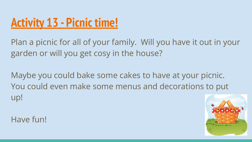## **Activity 13 - Picnic time!**

Plan a picnic for all of your family. Will you have it out in your garden or will you get cosy in the house?

Maybe you could bake some cakes to have at your picnic. You could even make some menus and decorations to put up!

Have fun!

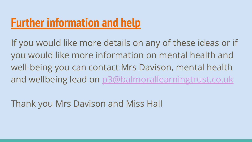### **Further information and help**

If you would like more details on any of these ideas or if you would like more information on mental health and well-being you can contact Mrs Davison, mental health and wellbeing lead on [p3@balmorallearningtrust.co.uk](mailto:p3@balmorallearningtrust.co.uk)

Thank you Mrs Davison and Miss Hall